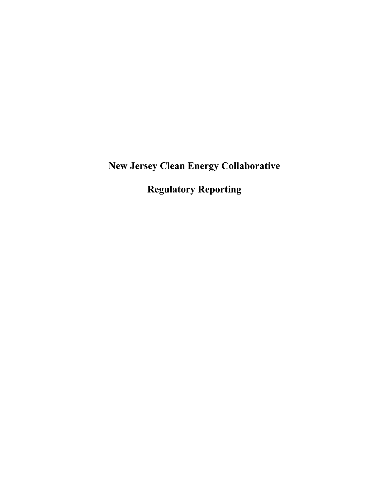**New Jersey Clean Energy Collaborative**

**Regulatory Reporting**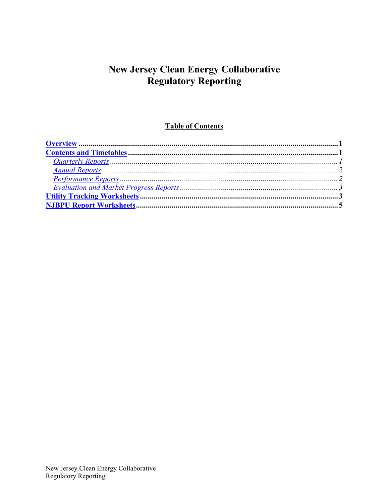# **New Jersey Clean Energy Collaborative Regulatory Reporting**

## **Table of Contents**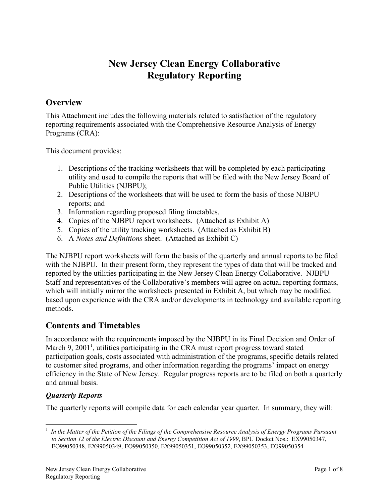# **New Jersey Clean Energy Collaborative Regulatory Reporting**

## <span id="page-2-0"></span>**Overview**

This Attachment includes the following materials related to satisfaction of the regulatory reporting requirements associated with the Comprehensive Resource Analysis of Energy Programs (CRA):

This document provides:

- 1. Descriptions of the tracking worksheets that will be completed by each participating utility and used to compile the reports that will be filed with the New Jersey Board of Public Utilities (NJBPU);
- 2. Descriptions of the worksheets that will be used to form the basis of those NJBPU reports; and
- 3. Information regarding proposed filing timetables.
- 4. Copies of the NJBPU report worksheets. (Attached as Exhibit A)
- 5. Copies of the utility tracking worksheets. (Attached as Exhibit B)
- 6. A *Notes and Definitions* sheet. (Attached as Exhibit C)

The NJBPU report worksheets will form the basis of the quarterly and annual reports to be filed with the NJBPU. In their present form, they represent the types of data that will be tracked and reported by the utilities participating in the New Jersey Clean Energy Collaborative. NJBPU Staff and representatives of the Collaborative's members will agree on actual reporting formats, which will initially mirror the worksheets presented in Exhibit A, but which may be modified based upon experience with the CRA and/or developments in technology and available reporting methods.

## **Contents and Timetables**

In accordance with the requirements imposed by the NJBPU in its Final Decision and Order of March 9, 2001<sup>1</sup>, utilities participating in the CRA must report progress toward stated participation goals, costs associated with administration of the programs, specific details related to customer sited programs, and other information regarding the programs' impact on energy efficiency in the State of New Jersey. Regular progress reports are to be filed on both a quarterly and annual basis.

## *Quarterly Reports*

The quarterly reports will compile data for each calendar year quarter. In summary, they will:

 $\frac{1}{1}$  *In the Matter of the Petition of the Filings of the Comprehensive Resource Analysis of Energy Programs Pursuant to Section 12 of the Electric Discount and Energy Competition Act of 1999*, BPU Docket Nos.: EX99050347, EO99050348, EX99050349, EO99050350, EX99050351, EO99050352, EX99050353, EO99050354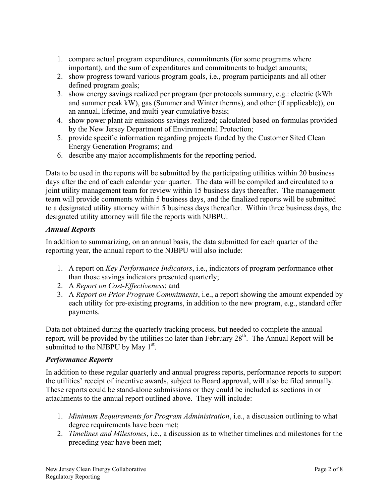- <span id="page-3-0"></span>1. compare actual program expenditures, commitments (for some programs where important), and the sum of expenditures and commitments to budget amounts;
- 2. show progress toward various program goals, i.e., program participants and all other defined program goals;
- 3. show energy savings realized per program (per protocols summary, e.g.: electric (kWh and summer peak kW), gas (Summer and Winter therms), and other (if applicable)), on an annual, lifetime, and multi-year cumulative basis;
- 4. show power plant air emissions savings realized; calculated based on formulas provided by the New Jersey Department of Environmental Protection;
- 5. provide specific information regarding projects funded by the Customer Sited Clean Energy Generation Programs; and
- 6. describe any major accomplishments for the reporting period.

Data to be used in the reports will be submitted by the participating utilities within 20 business days after the end of each calendar year quarter. The data will be compiled and circulated to a joint utility management team for review within 15 business days thereafter. The management team will provide comments within 5 business days, and the finalized reports will be submitted to a designated utility attorney within 5 business days thereafter. Within three business days, the designated utility attorney will file the reports with NJBPU.

### *Annual Reports*

In addition to summarizing, on an annual basis, the data submitted for each quarter of the reporting year, the annual report to the NJBPU will also include:

- 1. A report on *Key Performance Indicators*, i.e., indicators of program performance other than those savings indicators presented quarterly;
- 2. A *Report on Cost-Effectiveness*; and
- 3. A *Report on Prior Program Commitments*, i.e., a report showing the amount expended by each utility for pre-existing programs, in addition to the new program, e.g., standard offer payments.

Data not obtained during the quarterly tracking process, but needed to complete the annual report, will be provided by the utilities no later than February  $28<sup>th</sup>$ . The Annual Report will be submitted to the NJBPU by May  $1<sup>st</sup>$ .

### *Performance Reports*

In addition to these regular quarterly and annual progress reports, performance reports to support the utilities' receipt of incentive awards, subject to Board approval, will also be filed annually. These reports could be stand-alone submissions or they could be included as sections in or attachments to the annual report outlined above. They will include:

- 1. *Minimum Requirements for Program Administration*, i.e., a discussion outlining to what degree requirements have been met;
- 2. *Timelines and Milestones*, i.e., a discussion as to whether timelines and milestones for the preceding year have been met;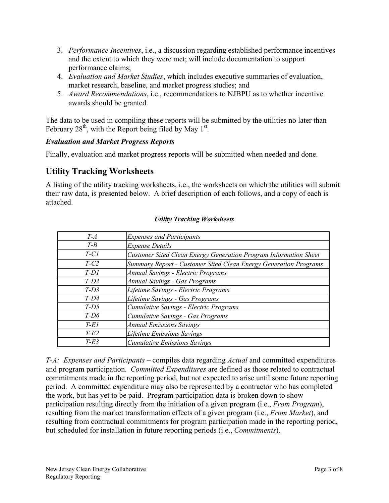- <span id="page-4-0"></span>3. *Performance Incentives*, i.e., a discussion regarding established performance incentives and the extent to which they were met; will include documentation to support performance claims;
- 4. *Evaluation and Market Studies*, which includes executive summaries of evaluation, market research, baseline, and market progress studies; and
- 5. *Award Recommendations*, i.e., recommendations to NJBPU as to whether incentive awards should be granted.

The data to be used in compiling these reports will be submitted by the utilities no later than February  $28<sup>th</sup>$ , with the Report being filed by May 1<sup>st</sup>.

### *Evaluation and Market Progress Reports*

Finally, evaluation and market progress reports will be submitted when needed and done.

## **Utility Tracking Worksheets**

A listing of the utility tracking worksheets, i.e., the worksheets on which the utilities will submit their raw data, is presented below. A brief description of each follows, and a copy of each is attached.

| $T-A$   | <b>Expenses and Participants</b>                                 |
|---------|------------------------------------------------------------------|
| $T - B$ | <b>Expense Details</b>                                           |
| $T-C1$  | Customer Sited Clean Energy Generation Program Information Sheet |
| $T-C2$  | Summary Report - Customer Sited Clean Energy Generation Programs |
| $T-D1$  | <b>Annual Savings - Electric Programs</b>                        |
| $T-D2$  | <b>Annual Savings - Gas Programs</b>                             |
| $T-D3$  | Lifetime Savings - Electric Programs                             |
| $T-D4$  | Lifetime Savings - Gas Programs                                  |
| $T-D5$  | Cumulative Savings - Electric Programs                           |
| $T-D6$  | Cumulative Savings - Gas Programs                                |
| $T-EI$  | <b>Annual Emissions Savings</b>                                  |
| $T-E2$  | <b>Lifetime Emissions Savings</b>                                |
| $T-E3$  | <b>Cumulative Emissions Savings</b>                              |

#### *Utility Tracking Worksheets*

*T-A: Expenses and Participants* – compiles data regarding *Actual* and committed expenditures and program participation. *Committed Expenditures* are defined as those related to contractual commitments made in the reporting period, but not expected to arise until some future reporting period. A committed expenditure may also be represented by a contractor who has completed the work, but has yet to be paid. Program participation data is broken down to show participation resulting directly from the initiation of a given program (i.e., *From Program*), resulting from the market transformation effects of a given program (i.e., *From Market*), and resulting from contractual commitments for program participation made in the reporting period, but scheduled for installation in future reporting periods (i.e., *Commitments*).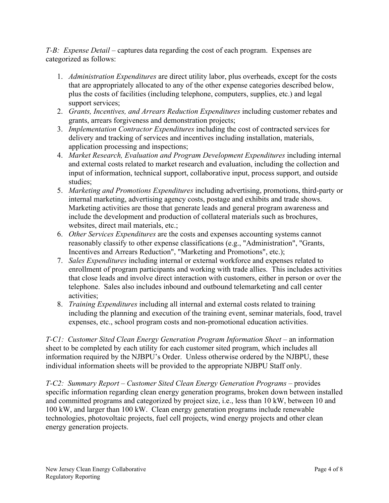*T-B: Expense Detail* – captures data regarding the cost of each program. Expenses are categorized as follows:

- 1. *Administration Expenditures* are direct utility labor, plus overheads, except for the costs that are appropriately allocated to any of the other expense categories described below, plus the costs of facilities (including telephone, computers, supplies, etc.) and legal support services;
- 2. *Grants, Incentives, and Arrears Reduction Expenditures* including customer rebates and grants, arrears forgiveness and demonstration projects;
- 3. *Implementation Contractor Expenditures* including the cost of contracted services for delivery and tracking of services and incentives including installation, materials, application processing and inspections;
- 4. *Market Research, Evaluation and Program Development Expenditures* including internal and external costs related to market research and evaluation, including the collection and input of information, technical support, collaborative input, process support, and outside studies;
- 5. *Marketing and Promotions Expenditures* including advertising, promotions, third-party or internal marketing, advertising agency costs, postage and exhibits and trade shows. Marketing activities are those that generate leads and general program awareness and include the development and production of collateral materials such as brochures, websites, direct mail materials, etc.;
- 6. *Other Services Expenditures* are the costs and expenses accounting systems cannot reasonably classify to other expense classifications (e.g., "Administration", "Grants, Incentives and Arrears Reduction", "Marketing and Promotions", etc.);
- 7. *Sales Expenditures* including internal or external workforce and expenses related to enrollment of program participants and working with trade allies. This includes activities that close leads and involve direct interaction with customers, either in person or over the telephone. Sales also includes inbound and outbound telemarketing and call center activities;
- 8. *Training Expenditures* including all internal and external costs related to training including the planning and execution of the training event, seminar materials, food, travel expenses, etc., school program costs and non-promotional education activities.

*T-C1: Customer Sited Clean Energy Generation Program Information Sheet* – an information sheet to be completed by each utility for each customer sited program, which includes all information required by the NJBPU's Order. Unless otherwise ordered by the NJBPU, these individual information sheets will be provided to the appropriate NJBPU Staff only.

*T-C2: Summary Report – Customer Sited Clean Energy Generation Programs* – provides specific information regarding clean energy generation programs, broken down between installed and committed programs and categorized by project size, i.e., less than 10 kW, between 10 and 100 kW, and larger than 100 kW. Clean energy generation programs include renewable technologies, photovoltaic projects, fuel cell projects, wind energy projects and other clean energy generation projects.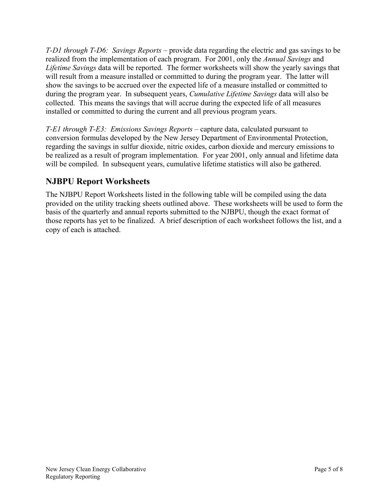<span id="page-6-0"></span>*T-D1 through T-D6: Savings Reports* – provide data regarding the electric and gas savings to be realized from the implementation of each program. For 2001, only the *Annual Savings* and *Lifetime Savings* data will be reported. The former worksheets will show the yearly savings that will result from a measure installed or committed to during the program year. The latter will show the savings to be accrued over the expected life of a measure installed or committed to during the program year. In subsequent years, *Cumulative Lifetime Savings* data will also be collected. This means the savings that will accrue during the expected life of all measures installed or committed to during the current and all previous program years.

*T-E1 through T-E3: Emissions Savings Reports* – capture data, calculated pursuant to conversion formulas developed by the New Jersey Department of Environmental Protection, regarding the savings in sulfur dioxide, nitric oxides, carbon dioxide and mercury emissions to be realized as a result of program implementation. For year 2001, only annual and lifetime data will be compiled. In subsequent years, cumulative lifetime statistics will also be gathered.

## **NJBPU Report Worksheets**

The NJBPU Report Worksheets listed in the following table will be compiled using the data provided on the utility tracking sheets outlined above. These worksheets will be used to form the basis of the quarterly and annual reports submitted to the NJBPU, though the exact format of those reports has yet to be finalized. A brief description of each worksheet follows the list, and a copy of each is attached.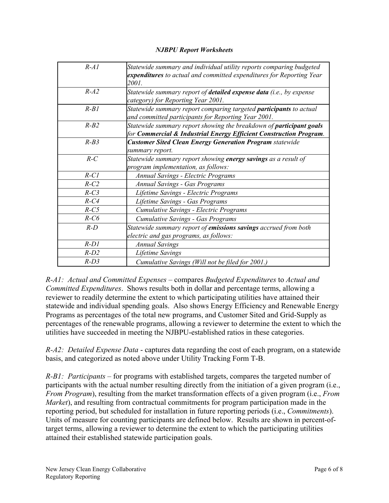#### *NJBPU Report Worksheets*

| $R-A1$     | Statewide summary and individual utility reports comparing budgeted<br>expenditures to actual and committed expenditures for Reporting Year<br>2001. |
|------------|------------------------------------------------------------------------------------------------------------------------------------------------------|
| $R-A2$     | Statewide summary report of <b>detailed expense data</b> (i.e., by expense<br>category) for Reporting Year 2001.                                     |
| $R-B1$     | Statewide summary report comparing targeted <b>participants</b> to actual<br>and committed participants for Reporting Year 2001.                     |
| $R-B2$     | Statewide summary report showing the breakdown of <b>participant goals</b><br>for Commercial & Industrial Energy Efficient Construction Program.     |
| $R-B3$     | <b>Customer Sited Clean Energy Generation Program statewide</b><br>summary report.                                                                   |
| $R-C$      | Statewide summary report showing energy savings as a result of<br>program implementation, as follows:                                                |
| $R$ - $CI$ | <b>Annual Savings - Electric Programs</b>                                                                                                            |
| $R-C2$     | Annual Savings - Gas Programs                                                                                                                        |
| $R-C3$     | Lifetime Savings - Electric Programs                                                                                                                 |
| $R$ - $C4$ | Lifetime Savings - Gas Programs                                                                                                                      |
| $R-C5$     | Cumulative Savings - Electric Programs                                                                                                               |
| $R-C6$     | Cumulative Savings - Gas Programs                                                                                                                    |
| $R-D$      | Statewide summary report of emissions savings accrued from both                                                                                      |
|            | electric and gas programs, as follows:                                                                                                               |
| $R-D1$     | <b>Annual Savings</b>                                                                                                                                |
| $R-D2$     | Lifetime Savings                                                                                                                                     |
| $R-D3$     | Cumulative Savings (Will not be filed for 2001.)                                                                                                     |

*R-A1: Actual and Committed Expenses* – compares *Budgeted Expenditures* to *Actual and Committed Expenditures*. Shows results both in dollar and percentage terms, allowing a reviewer to readily determine the extent to which participating utilities have attained their statewide and individual spending goals. Also shows Energy Efficiency and Renewable Energy Programs as percentages of the total new programs, and Customer Sited and Grid-Supply as percentages of the renewable programs, allowing a reviewer to determine the extent to which the utilities have succeeded in meeting the NJBPU-established ratios in these categories.

*R-A2: Detailed Expense Data* - captures data regarding the cost of each program, on a statewide basis, and categorized as noted above under Utility Tracking Form T-B.

*R-B1: Participants* – for programs with established targets, compares the targeted number of participants with the actual number resulting directly from the initiation of a given program (i.e., *From Program*), resulting from the market transformation effects of a given program (i.e., *From Market*), and resulting from contractual commitments for program participation made in the reporting period, but scheduled for installation in future reporting periods (i.e., *Commitments*). Units of measure for counting participants are defined below. Results are shown in percent-oftarget terms, allowing a reviewer to determine the extent to which the participating utilities attained their established statewide participation goals.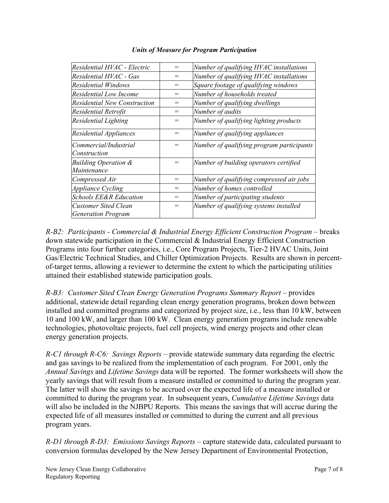| Residential HVAC - Electric                       | $=$ | Number of qualifying HVAC installations   |
|---------------------------------------------------|-----|-------------------------------------------|
| Residential HVAC - Gas                            | =   | Number of qualifying HVAC installations   |
| <b>Residential Windows</b>                        |     | Square footage of qualifying windows      |
| Residential Low Income                            | $=$ | Number of households treated              |
| Residential New Construction                      | $=$ | Number of qualifying dwellings            |
| Residential Retrofit                              | $=$ | Number of audits                          |
| Residential Lighting                              | $=$ | Number of qualifying lighting products    |
| Residential Appliances                            | $=$ | Number of qualifying appliances           |
| Commercial/Industrial<br>Construction             | $=$ | Number of qualifying program participants |
| <b>Building Operation &amp;</b><br>Maintenance    | $=$ | Number of building operators certified    |
| Compressed Air                                    | $=$ | Number of qualifying compressed air jobs  |
| <b>Appliance Cycling</b>                          | $=$ | Number of homes controlled                |
| <b>Schools EE&amp;R Education</b>                 | $=$ | Number of participating students          |
| Customer Sited Clean<br><b>Generation Program</b> | =   | Number of qualifying systems installed    |
|                                                   |     |                                           |

#### *Units of Measure for Program Participation*

*R-B2: Participants - Commercial & Industrial Energy Efficient Construction Program* – breaks down statewide participation in the Commercial & Industrial Energy Efficient Construction Programs into four further categories, i.e., Core Program Projects, Tier-2 HVAC Units, Joint Gas/Electric Technical Studies, and Chiller Optimization Projects. Results are shown in percentof-target terms, allowing a reviewer to determine the extent to which the participating utilities attained their established statewide participation goals.

*R-B3: Customer Sited Clean Energy Generation Programs Summary Report* – provides additional, statewide detail regarding clean energy generation programs, broken down between installed and committed programs and categorized by project size, i.e., less than 10 kW, between 10 and 100 kW, and larger than 100 kW. Clean energy generation programs include renewable technologies, photovoltaic projects, fuel cell projects, wind energy projects and other clean energy generation projects.

*R-C1 through R-C6: Savings Reports* – provide statewide summary data regarding the electric and gas savings to be realized from the implementation of each program. For 2001, only the *Annual Savings* and *Lifetime Savings* data will be reported. The former worksheets will show the yearly savings that will result from a measure installed or committed to during the program year. The latter will show the savings to be accrued over the expected life of a measure installed or committed to during the program year. In subsequent years, *Cumulative Lifetime Savings* data will also be included in the NJBPU Reports. This means the savings that will accrue during the expected life of all measures installed or committed to during the current and all previous program years.

*R-D1 through R-D3: Emissions Savings Reports* – capture statewide data, calculated pursuant to conversion formulas developed by the New Jersey Department of Environmental Protection,